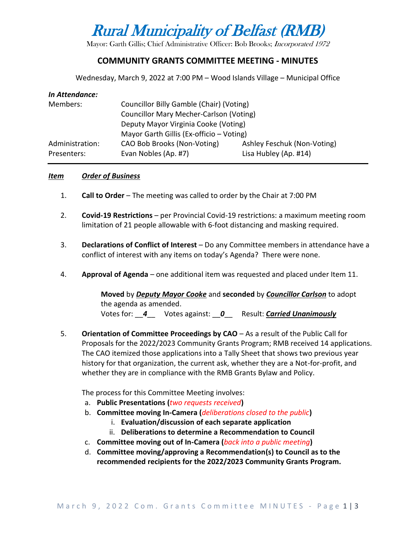# Rural Municipality of Belfast (RMB)

Mayor: Garth Gillis; Chief Administrative Officer: Bob Brooks; Incorporated 1972

## **COMMUNITY GRANTS COMMITTEE MEETING - MINUTES**

Wednesday, March 9, 2022 at 7:00 PM – Wood Islands Village – Municipal Office

| In Attendance:  |                                                |                             |  |
|-----------------|------------------------------------------------|-----------------------------|--|
| Members:        | Councillor Billy Gamble (Chair) (Voting)       |                             |  |
|                 | <b>Councillor Mary Mecher-Carlson (Voting)</b> |                             |  |
|                 | Deputy Mayor Virginia Cooke (Voting)           |                             |  |
|                 | Mayor Garth Gillis (Ex-officio - Voting)       |                             |  |
| Administration: | CAO Bob Brooks (Non-Voting)                    | Ashley Feschuk (Non-Voting) |  |
| Presenters:     | Evan Nobles (Ap. #7)                           | Lisa Hubley (Ap. #14)       |  |

#### *Item Order of Business*

- 1. **Call to Order** The meeting was called to order by the Chair at 7:00 PM
- 2. **Covid-19 Restrictions**  per Provincial Covid-19 restrictions: a maximum meeting room limitation of 21 people allowable with 6-foot distancing and masking required.
- 3. **Declarations of Conflict of Interest** Do any Committee members in attendance have a conflict of interest with any items on today's Agenda? There were none.
- 4. **Approval of Agenda**  one additional item was requested and placed under Item 11.

**Moved** by *Deputy Mayor Cooke* and **seconded** by *Councillor Carlson* to adopt the agenda as amended. Votes for: \_\_*4*\_\_ Votes against: \_\_*0*\_\_ Result: *Carried Unanimously*

5. **Orientation of Committee Proceedings by CAO** – As a result of the Public Call for Proposals for the 2022/2023 Community Grants Program; RMB received 14 applications. The CAO itemized those applications into a Tally Sheet that shows two previous year history for that organization, the current ask, whether they are a Not-for-profit, and whether they are in compliance with the RMB Grants Bylaw and Policy.

The process for this Committee Meeting involves:

- a. **Public Presentations (***two requests received***)**
- b. **Committee moving In-Camera (***deliberations closed to the public***)**
	- i. **Evaluation/discussion of each separate application**
	- ii. **Deliberations to determine a Recommendation to Council**
- c. **Committee moving out of In-Camera (***back into a public meeting***)**
- d. **Committee moving/approving a Recommendation(s) to Council as to the recommended recipients for the 2022/2023 Community Grants Program.**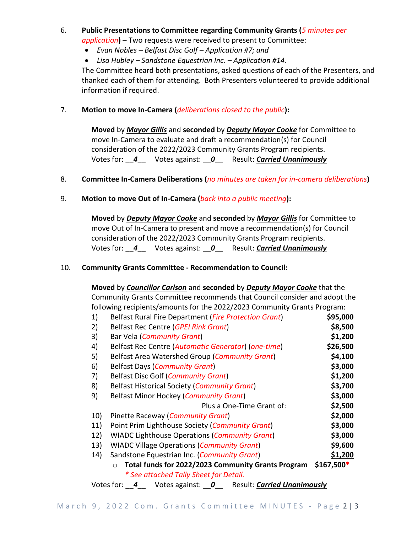- 6. **Public Presentations to Committee regarding Community Grants (***5 minutes per application***)** – Two requests were received to present to Committee:
	- *Evan Nobles – Belfast Disc Golf – Application #7; and*
	- *Lisa Hubley – Sandstone Equestrian Inc. – Application #14.*

The Committee heard both presentations, asked questions of each of the Presenters, and thanked each of them for attending. Both Presenters volunteered to provide additional information if required.

#### 7. **Motion to move In-Camera (***deliberations closed to the public***):**

**Moved** by *Mayor Gillis* and **seconded** by *Deputy Mayor Cooke* for Committee to move In-Camera to evaluate and draft a recommendation(s) for Council consideration of the 2022/2023 Community Grants Program recipients. Votes for: \_\_*4*\_\_ Votes against: \_\_*0*\_\_ Result: *Carried Unanimously*

#### 8. **Committee In-Camera Deliberations (***no minutes are taken for in-camera deliberations***)**

### 9. **Motion to move Out of In-Camera (***back into a public meeting***):**

**Moved** by *Deputy Mayor Cooke* and **seconded** by *Mayor Gillis* for Committee to move Out of In-Camera to present and move a recommendation(s) for Council consideration of the 2022/2023 Community Grants Program recipients. Votes for: \_\_*4*\_\_ Votes against: \_\_*0*\_\_ Result: *Carried Unanimously*

#### 10. **Community Grants Committee - Recommendation to Council:**

**Moved** by *Councillor Carlson* and **seconded** by *Deputy Mayor Cooke* that the Community Grants Committee recommends that Council consider and adopt the following recipients/amounts for the 2022/2023 Community Grants Program:

| 1)  | Belfast Rural Fire Department (Fire Protection Grant) | \$95,000 |
|-----|-------------------------------------------------------|----------|
| 2)  | Belfast Rec Centre (GPEI Rink Grant)                  | \$8,500  |
| 3)  | Bar Vela (Community Grant)                            | \$1,200  |
| 4)  | Belfast Rec Centre (Automatic Generator) (one-time)   | \$26,500 |
| 5)  | Belfast Area Watershed Group (Community Grant)        | \$4,100  |
| 6)  | <b>Belfast Days (Community Grant)</b>                 | \$3,000  |
| 7)  | <b>Belfast Disc Golf (Community Grant)</b>            | \$1,200  |
| 8)  | <b>Belfast Historical Society (Community Grant)</b>   | \$3,700  |
| 9)  | Belfast Minor Hockey (Community Grant)                | \$3,000  |
|     | Plus a One-Time Grant of:                             | \$2,500  |
| 10) | Pinette Raceway (Community Grant)                     | \$2,000  |
| 11) | Point Prim Lighthouse Society (Community Grant)       | \$3,000  |
| 12) | <b>WIADC Lighthouse Operations (Community Grant)</b>  | \$3,000  |
| 13) | <b>WIADC Village Operations (Community Grant)</b>     | \$9,600  |
| 14) | Sandstone Equestrian Inc. (Community Grant)           | \$1,200  |
|     | $$167,500*$                                           |          |
|     | * See attached Tally Sheet for Detail.                |          |

Votes for: \_\_*4*\_\_ Votes against: \_\_*0*\_\_ Result: *Carried Unanimously*